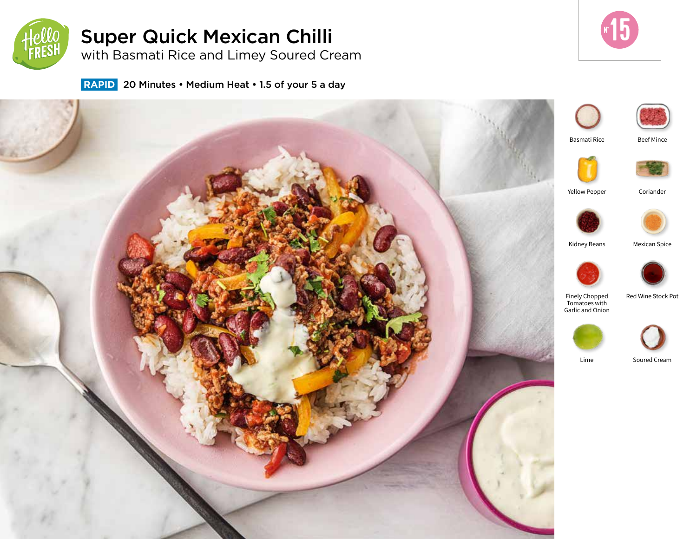

# Super Quick Mexican Chilli

with Basmati Rice and Limey Soured Cream



 **RAPID** 20 Minutes • Medium Heat • 1.5 of your 5 a day